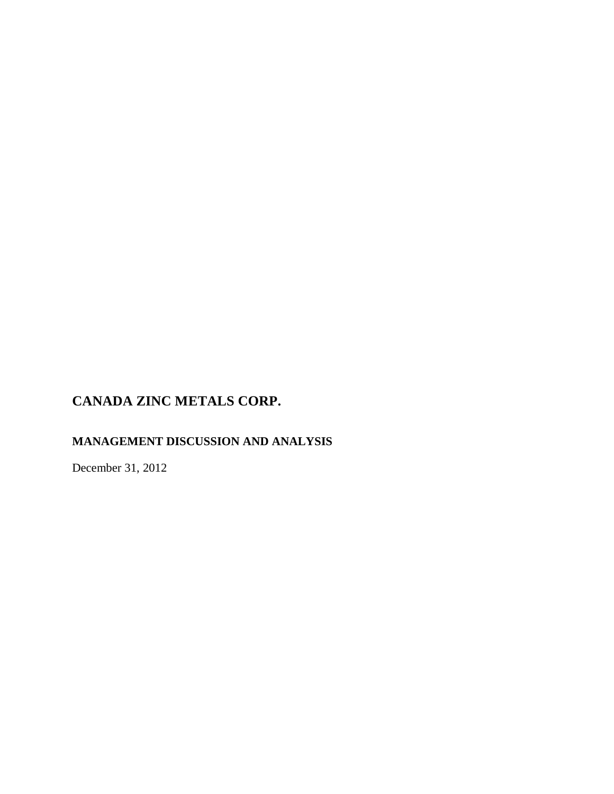# **MANAGEMENT DISCUSSION AND ANALYSIS**

December 31, 2012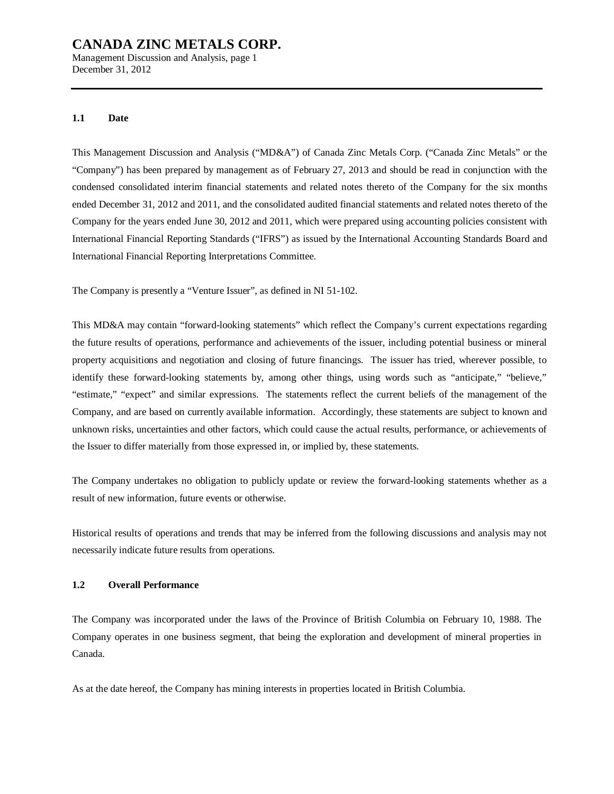Management Discussion and Analysis, page 1 December 31, 2012

#### **1.1 Date**

This Management Discussion and Analysis ("MD&A") of Canada Zinc Metals Corp. ("Canada Zinc Metals" or the "Company") has been prepared by management as of February 27, 2013 and should be read in conjunction with the condensed consolidated interim financial statements and related notes thereto of the Company for the six months ended December 31, 2012 and 2011, and the consolidated audited financial statements and related notes thereto of the Company for the years ended June 30, 2012 and 2011, which were prepared using accounting policies consistent with International Financial Reporting Standards ("IFRS") as issued by the International Accounting Standards Board and International Financial Reporting Interpretations Committee.

The Company is presently a "Venture Issuer", as defined in NI 51-102.

This MD&A may contain "forward-looking statements" which reflect the Company's current expectations regarding the future results of operations, performance and achievements of the issuer, including potential business or mineral property acquisitions and negotiation and closing of future financings. The issuer has tried, wherever possible, to identify these forward-looking statements by, among other things, using words such as "anticipate," "believe," "estimate," "expect" and similar expressions. The statements reflect the current beliefs of the management of the Company, and are based on currently available information. Accordingly, these statements are subject to known and unknown risks, uncertainties and other factors, which could cause the actual results, performance, or achievements of the Issuer to differ materially from those expressed in, or implied by, these statements.

The Company undertakes no obligation to publicly update or review the forward-looking statements whether as a result of new information, future events or otherwise.

Historical results of operations and trends that may be inferred from the following discussions and analysis may not necessarily indicate future results from operations.

#### **1.2 Overall Performance**

The Company was incorporated under the laws of the Province of British Columbia on February 10, 1988. The Company operates in one business segment, that being the exploration and development of mineral properties in Canada.

As at the date hereof, the Company has mining interests in properties located in British Columbia.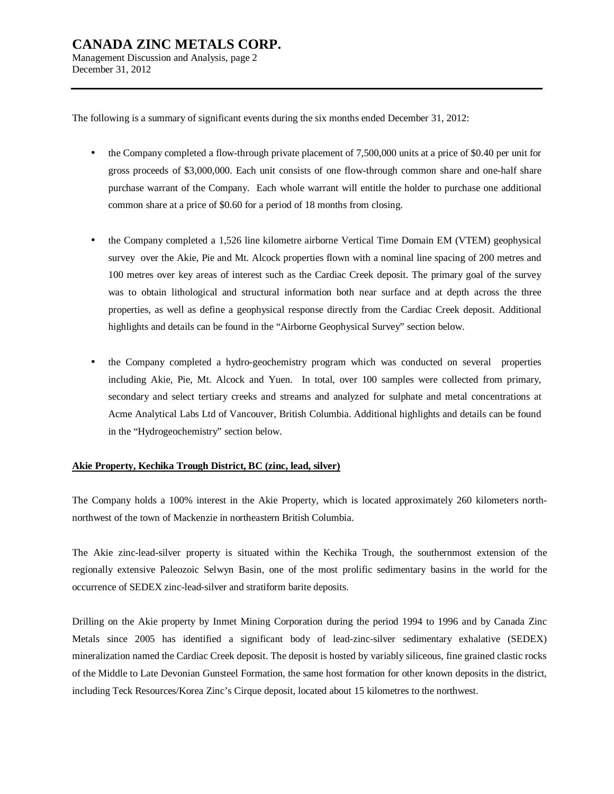The following is a summary of significant events during the six months ended December 31, 2012:

- the Company completed a flow-through private placement of 7,500,000 units at a price of \$0.40 per unit for gross proceeds of \$3,000,000. Each unit consists of one flow-through common share and one-half share purchase warrant of the Company. Each whole warrant will entitle the holder to purchase one additional common share at a price of \$0.60 for a period of 18 months from closing.
- the Company completed a 1,526 line kilometre airborne Vertical Time Domain EM (VTEM) geophysical survey over the Akie, Pie and Mt. Alcock properties flown with a nominal line spacing of 200 metres and 100 metres over key areas of interest such as the Cardiac Creek deposit. The primary goal of the survey was to obtain lithological and structural information both near surface and at depth across the three properties, as well as define a geophysical response directly from the Cardiac Creek deposit. Additional highlights and details can be found in the "Airborne Geophysical Survey" section below.
- the Company completed a hydro-geochemistry program which was conducted on several properties including Akie, Pie, Mt. Alcock and Yuen. In total, over 100 samples were collected from primary, secondary and select tertiary creeks and streams and analyzed for sulphate and metal concentrations at Acme Analytical Labs Ltd of Vancouver, British Columbia. Additional highlights and details can be found in the "Hydrogeochemistry" section below.

#### **Akie Property, Kechika Trough District, BC (zinc, lead, silver)**

The Company holds a 100% interest in the Akie Property, which is located approximately 260 kilometers northnorthwest of the town of Mackenzie in northeastern British Columbia.

The Akie zinc-lead-silver property is situated within the Kechika Trough, the southernmost extension of the regionally extensive Paleozoic Selwyn Basin, one of the most prolific sedimentary basins in the world for the occurrence of SEDEX zinc-lead-silver and stratiform barite deposits.

Drilling on the Akie property by Inmet Mining Corporation during the period 1994 to 1996 and by Canada Zinc Metals since 2005 has identified a significant body of lead-zinc-silver sedimentary exhalative (SEDEX) mineralization named the Cardiac Creek deposit. The deposit is hosted by variably siliceous, fine grained clastic rocks of the Middle to Late Devonian Gunsteel Formation, the same host formation for other known deposits in the district, including Teck Resources/Korea Zinc's Cirque deposit, located about 15 kilometres to the northwest.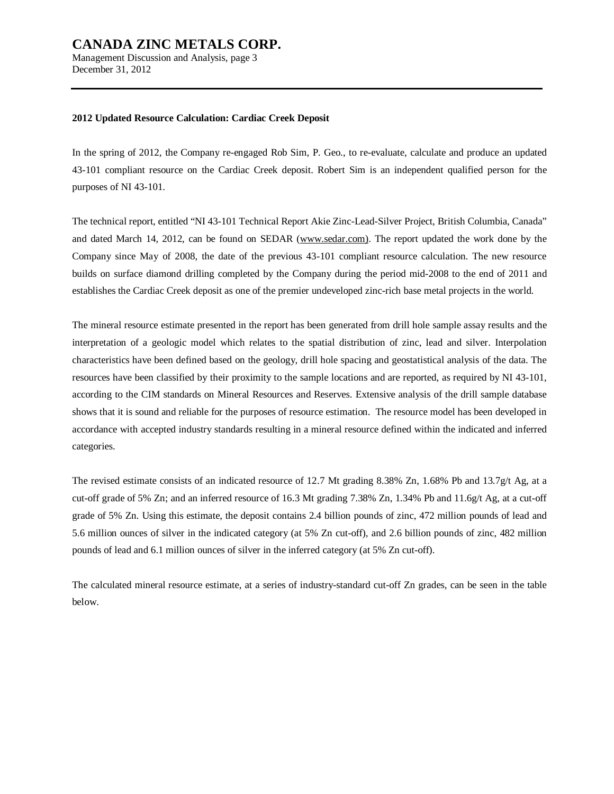Management Discussion and Analysis, page 3 December 31, 2012

#### **2012 Updated Resource Calculation: Cardiac Creek Deposit**

In the spring of 2012, the Company re-engaged Rob Sim, P. Geo., to re-evaluate, calculate and produce an updated 43-101 compliant resource on the Cardiac Creek deposit. Robert Sim is an independent qualified person for the purposes of NI 43-101.

The technical report, entitled "NI 43-101 Technical Report Akie Zinc-Lead-Silver Project, British Columbia, Canada" and dated March 14, 2012, can be found on SEDAR [\(www.sedar.com\).](http://www.sedar.com)) The report updated the work done by the Company since May of 2008, the date of the previous 43-101 compliant resource calculation. The new resource builds on surface diamond drilling completed by the Company during the period mid-2008 to the end of 2011 and establishes the Cardiac Creek deposit as one of the premier undeveloped zinc-rich base metal projects in the world.

The mineral resource estimate presented in the report has been generated from drill hole sample assay results and the interpretation of a geologic model which relates to the spatial distribution of zinc, lead and silver. Interpolation characteristics have been defined based on the geology, drill hole spacing and geostatistical analysis of the data. The resources have been classified by their proximity to the sample locations and are reported, as required by NI 43-101, according to the CIM standards on Mineral Resources and Reserves. Extensive analysis of the drill sample database shows that it is sound and reliable for the purposes of resource estimation. The resource model has been developed in accordance with accepted industry standards resulting in a mineral resource defined within the indicated and inferred categories.

The revised estimate consists of an indicated resource of 12.7 Mt grading 8.38% Zn, 1.68% Pb and 13.7g/t Ag, at a cut-off grade of 5% Zn; and an inferred resource of 16.3 Mt grading 7.38% Zn, 1.34% Pb and 11.6g/t Ag, at a cut-off grade of 5% Zn. Using this estimate, the deposit contains 2.4 billion pounds of zinc, 472 million pounds of lead and 5.6 million ounces of silver in the indicated category (at 5% Zn cut-off), and 2.6 billion pounds of zinc, 482 million pounds of lead and 6.1 million ounces of silver in the inferred category (at 5% Zn cut-off).

The calculated mineral resource estimate, at a series of industry-standard cut-off Zn grades, can be seen in the table below.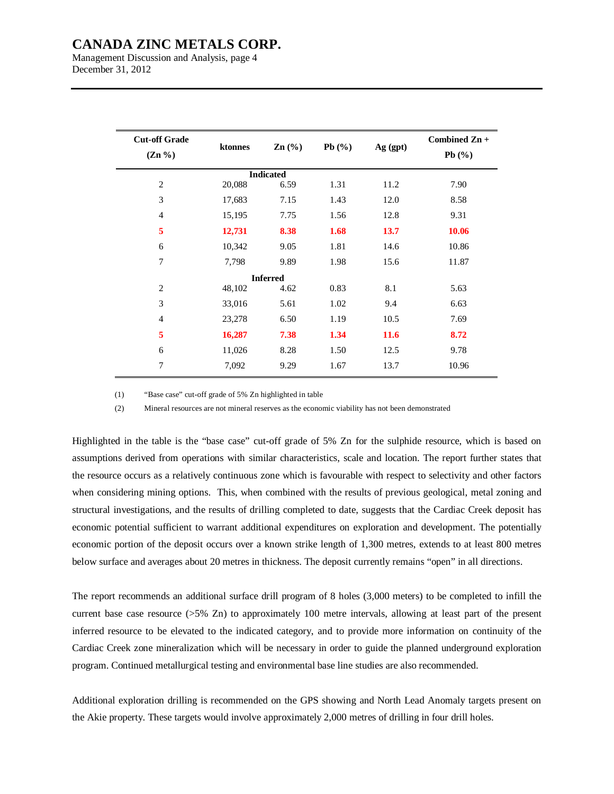Management Discussion and Analysis, page 4 December 31, 2012

| <b>Cut-off Grade</b><br>$(Zn\% )$ | ktonnes | $\text{Zn}(\%)$  | Pb $(\%)$ | Ag (gpt)    | Combined Zn +<br>Pb $(\%)$ |
|-----------------------------------|---------|------------------|-----------|-------------|----------------------------|
|                                   |         | <b>Indicated</b> |           |             |                            |
| $\mathfrak{2}$                    | 20,088  | 6.59             | 1.31      | 11.2        | 7.90                       |
| 3                                 | 17,683  | 7.15             | 1.43      | 12.0        | 8.58                       |
| $\overline{4}$                    | 15,195  | 7.75             | 1.56      | 12.8        | 9.31                       |
| 5                                 | 12,731  | 8.38             | 1.68      | 13.7        | 10.06                      |
| 6                                 | 10,342  | 9.05             | 1.81      | 14.6        | 10.86                      |
| 7                                 | 7,798   | 9.89             | 1.98      | 15.6        | 11.87                      |
|                                   |         | <b>Inferred</b>  |           |             |                            |
| 2                                 | 48,102  | 4.62             | 0.83      | 8.1         | 5.63                       |
| 3                                 | 33,016  | 5.61             | 1.02      | 9.4         | 6.63                       |
| $\overline{4}$                    | 23,278  | 6.50             | 1.19      | 10.5        | 7.69                       |
| 5                                 | 16,287  | 7.38             | 1.34      | <b>11.6</b> | 8.72                       |
| 6                                 | 11,026  | 8.28             | 1.50      | 12.5        | 9.78                       |
| 7                                 | 7,092   | 9.29             | 1.67      | 13.7        | 10.96                      |

(1) "Base case" cut-off grade of 5% Zn highlighted in table

(2) Mineral resources are not mineral reserves as the economic viability has not been demonstrated

Highlighted in the table is the "base case" cut-off grade of 5% Zn for the sulphide resource, which is based on assumptions derived from operations with similar characteristics, scale and location. The report further states that the resource occurs as a relatively continuous zone which is favourable with respect to selectivity and other factors when considering mining options. This, when combined with the results of previous geological, metal zoning and structural investigations, and the results of drilling completed to date, suggests that the Cardiac Creek deposit has economic potential sufficient to warrant additional expenditures on exploration and development. The potentially economic portion of the deposit occurs over a known strike length of 1,300 metres, extends to at least 800 metres below surface and averages about 20 metres in thickness. The deposit currently remains "open" in all directions.

The report recommends an additional surface drill program of 8 holes (3,000 meters) to be completed to infill the current base case resource ( $>5\%$  Zn) to approximately 100 metre intervals, allowing at least part of the present inferred resource to be elevated to the indicated category, and to provide more information on continuity of the Cardiac Creek zone mineralization which will be necessary in order to guide the planned underground exploration program. Continued metallurgical testing and environmental base line studies are also recommended.

Additional exploration drilling is recommended on the GPS showing and North Lead Anomaly targets present on the Akie property. These targets would involve approximately 2,000 metres of drilling in four drill holes.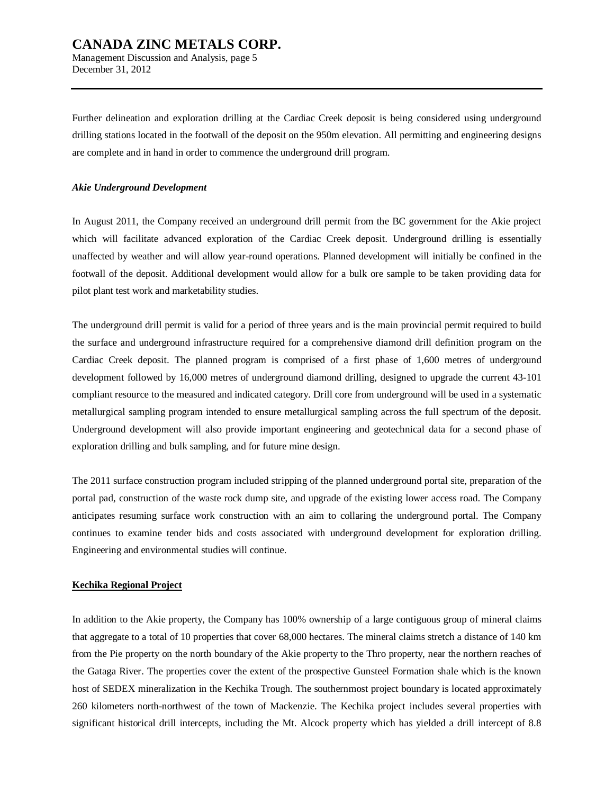Management Discussion and Analysis, page 5 December 31, 2012

Further delineation and exploration drilling at the Cardiac Creek deposit is being considered using underground drilling stations located in the footwall of the deposit on the 950m elevation. All permitting and engineering designs are complete and in hand in order to commence the underground drill program.

#### *Akie Underground Development*

In August 2011, the Company received an underground drill permit from the BC government for the Akie project which will facilitate advanced exploration of the Cardiac Creek deposit. Underground drilling is essentially unaffected by weather and will allow year-round operations. Planned development will initially be confined in the footwall of the deposit. Additional development would allow for a bulk ore sample to be taken providing data for pilot plant test work and marketability studies.

The underground drill permit is valid for a period of three years and is the main provincial permit required to build the surface and underground infrastructure required for a comprehensive diamond drill definition program on the Cardiac Creek deposit. The planned program is comprised of a first phase of 1,600 metres of underground development followed by 16,000 metres of underground diamond drilling, designed to upgrade the current 43-101 compliant resource to the measured and indicated category. Drill core from underground will be used in a systematic metallurgical sampling program intended to ensure metallurgical sampling across the full spectrum of the deposit. Underground development will also provide important engineering and geotechnical data for a second phase of exploration drilling and bulk sampling, and for future mine design.

The 2011 surface construction program included stripping of the planned underground portal site, preparation of the portal pad, construction of the waste rock dump site, and upgrade of the existing lower access road. The Company anticipates resuming surface work construction with an aim to collaring the underground portal. The Company continues to examine tender bids and costs associated with underground development for exploration drilling. Engineering and environmental studies will continue.

#### **Kechika Regional Project**

In addition to the Akie property, the Company has 100% ownership of a large contiguous group of mineral claims that aggregate to a total of 10 properties that cover 68,000 hectares. The mineral claims stretch a distance of 140 km from the Pie property on the north boundary of the Akie property to the Thro property, near the northern reaches of the Gataga River. The properties cover the extent of the prospective Gunsteel Formation shale which is the known host of SEDEX mineralization in the Kechika Trough. The southernmost project boundary is located approximately 260 kilometers north-northwest of the town of Mackenzie. The Kechika project includes several properties with significant historical drill intercepts, including the Mt. Alcock property which has yielded a drill intercept of 8.8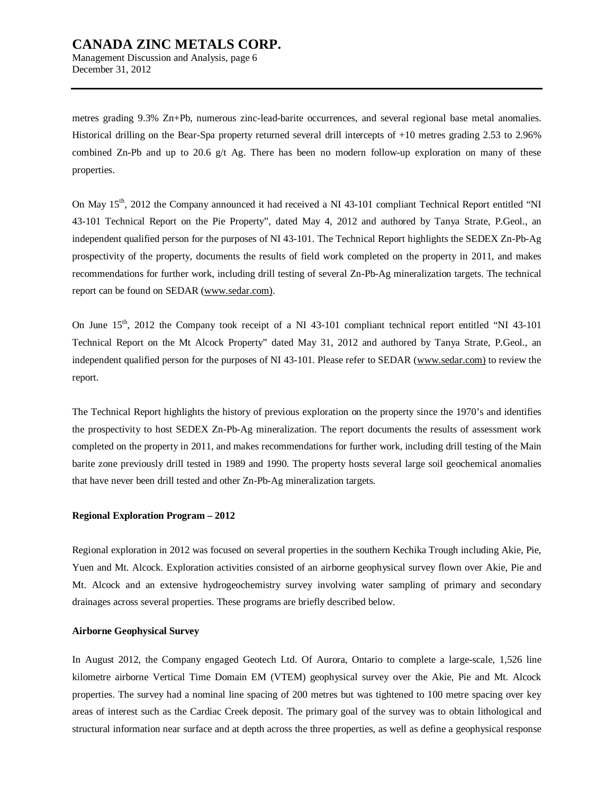Management Discussion and Analysis, page 6 December 31, 2012

metres grading 9.3% Zn+Pb, numerous zinc-lead-barite occurrences, and several regional base metal anomalies. Historical drilling on the Bear-Spa property returned several drill intercepts of +10 metres grading 2.53 to 2.96% combined Zn-Pb and up to 20.6  $g/t$  Ag. There has been no modern follow-up exploration on many of these properties.

On May 15<sup>th</sup>, 2012 the Company announced it had received a NI 43-101 compliant Technical Report entitled "NI 43-101 Technical Report on the Pie Property", dated May 4, 2012 and authored by Tanya Strate, P.Geol., an independent qualified person for the purposes of NI 43-101. The Technical Report highlights the SEDEX Zn-Pb-Ag prospectivity of the property, documents the results of field work completed on the property in 2011, and makes recommendations for further work, including drill testing of several Zn-Pb-Ag mineralization targets. The technical report can be found on SEDAR ([www.sedar.com\).](http://www.sedar.com))

On June 15<sup>th</sup>, 2012 the Company took receipt of a NI 43-101 compliant technical report entitled "NI 43-101" Technical Report on the Mt Alcock Property" dated May 31, 2012 and authored by Tanya Strate, P.Geol., an independent qualified person for the purposes of NI 43-101. Please refer to SEDAR ([www.sedar.com\)](http://www.sedar.com)) to review the report.

The Technical Report highlights the history of previous exploration on the property since the 1970's and identifies the prospectivity to host SEDEX Zn-Pb-Ag mineralization. The report documents the results of assessment work completed on the property in 2011, and makes recommendations for further work, including drill testing of the Main barite zone previously drill tested in 1989 and 1990. The property hosts several large soil geochemical anomalies that have never been drill tested and other Zn-Pb-Ag mineralization targets.

#### **Regional Exploration Program – 2012**

Regional exploration in 2012 was focused on several properties in the southern Kechika Trough including Akie, Pie, Yuen and Mt. Alcock. Exploration activities consisted of an airborne geophysical survey flown over Akie, Pie and Mt. Alcock and an extensive hydrogeochemistry survey involving water sampling of primary and secondary drainages across several properties. These programs are briefly described below.

#### **Airborne Geophysical Survey**

In August 2012, the Company engaged Geotech Ltd. Of Aurora, Ontario to complete a large-scale, 1,526 line kilometre airborne Vertical Time Domain EM (VTEM) geophysical survey over the Akie, Pie and Mt. Alcock properties. The survey had a nominal line spacing of 200 metres but was tightened to 100 metre spacing over key areas of interest such as the Cardiac Creek deposit. The primary goal of the survey was to obtain lithological and structural information near surface and at depth across the three properties, as well as define a geophysical response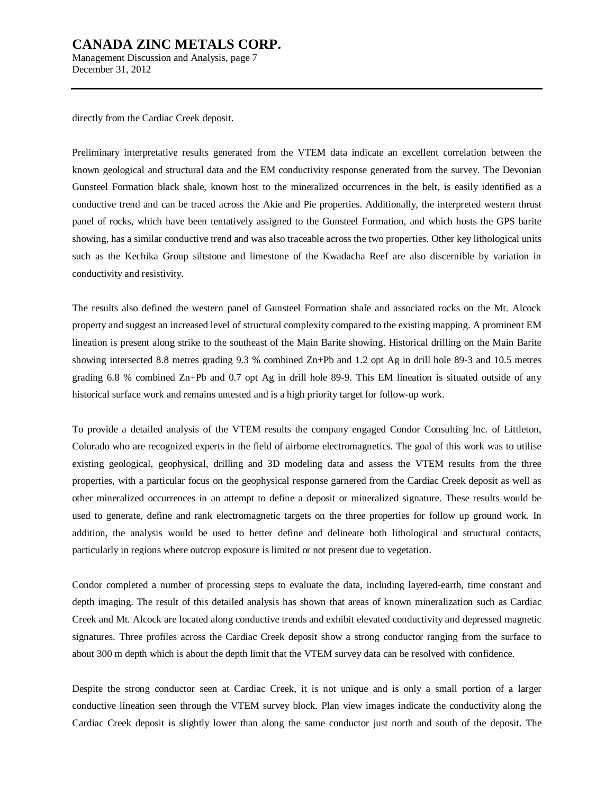Management Discussion and Analysis, page 7 December 31, 2012

directly from the Cardiac Creek deposit.

Preliminary interpretative results generated from the VTEM data indicate an excellent correlation between the known geological and structural data and the EM conductivity response generated from the survey. The Devonian Gunsteel Formation black shale, known host to the mineralized occurrences in the belt, is easily identified as a conductive trend and can be traced across the Akie and Pie properties. Additionally, the interpreted western thrust panel of rocks, which have been tentatively assigned to the Gunsteel Formation, and which hosts the GPS barite showing, has a similar conductive trend and was also traceable across the two properties. Other key lithological units such as the Kechika Group siltstone and limestone of the Kwadacha Reef are also discernible by variation in conductivity and resistivity.

The results also defined the western panel of Gunsteel Formation shale and associated rocks on the Mt. Alcock property and suggest an increased level of structural complexity compared to the existing mapping. A prominent EM lineation is present along strike to the southeast of the Main Barite showing. Historical drilling on the Main Barite showing intersected 8.8 metres grading 9.3 % combined Zn+Pb and 1.2 opt Ag in drill hole 89-3 and 10.5 metres grading 6.8 % combined Zn+Pb and 0.7 opt Ag in drill hole 89-9. This EM lineation is situated outside of any historical surface work and remains untested and is a high priority target for follow-up work.

To provide a detailed analysis of the VTEM results the company engaged Condor Consulting Inc. of Littleton, Colorado who are recognized experts in the field of airborne electromagnetics. The goal of this work was to utilise existing geological, geophysical, drilling and 3D modeling data and assess the VTEM results from the three properties, with a particular focus on the geophysical response garnered from the Cardiac Creek deposit as well as other mineralized occurrences in an attempt to define a deposit or mineralized signature. These results would be used to generate, define and rank electromagnetic targets on the three properties for follow up ground work. In addition, the analysis would be used to better define and delineate both lithological and structural contacts, particularly in regions where outcrop exposure is limited or not present due to vegetation.

Condor completed a number of processing steps to evaluate the data, including layered-earth, time constant and depth imaging. The result of this detailed analysis has shown that areas of known mineralization such as Cardiac Creek and Mt. Alcock are located along conductive trends and exhibit elevated conductivity and depressed magnetic signatures. Three profiles across the Cardiac Creek deposit show a strong conductor ranging from the surface to about 300 m depth which is about the depth limit that the VTEM survey data can be resolved with confidence.

Despite the strong conductor seen at Cardiac Creek, it is not unique and is only a small portion of a larger conductive lineation seen through the VTEM survey block. Plan view images indicate the conductivity along the Cardiac Creek deposit is slightly lower than along the same conductor just north and south of the deposit. The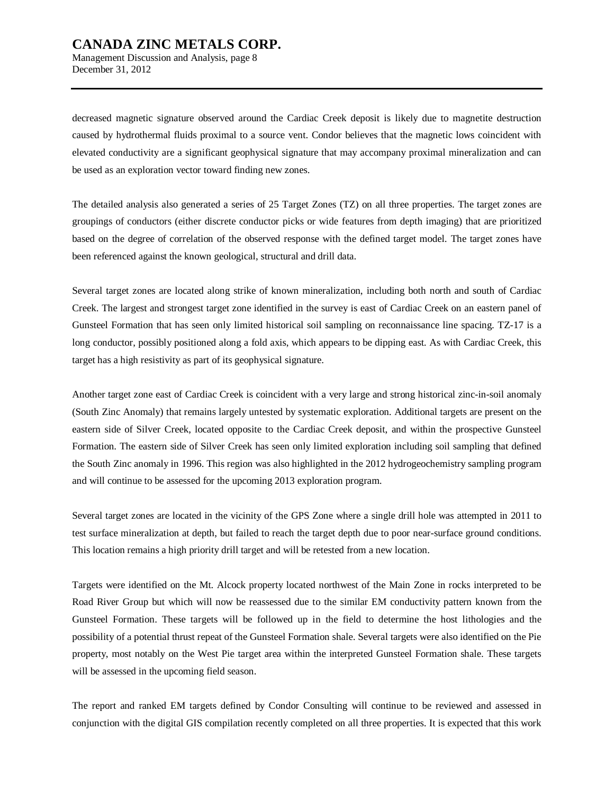Management Discussion and Analysis, page 8 December 31, 2012

decreased magnetic signature observed around the Cardiac Creek deposit is likely due to magnetite destruction caused by hydrothermal fluids proximal to a source vent. Condor believes that the magnetic lows coincident with elevated conductivity are a significant geophysical signature that may accompany proximal mineralization and can be used as an exploration vector toward finding new zones.

The detailed analysis also generated a series of 25 Target Zones (TZ) on all three properties. The target zones are groupings of conductors (either discrete conductor picks or wide features from depth imaging) that are prioritized based on the degree of correlation of the observed response with the defined target model. The target zones have been referenced against the known geological, structural and drill data.

Several target zones are located along strike of known mineralization, including both north and south of Cardiac Creek. The largest and strongest target zone identified in the survey is east of Cardiac Creek on an eastern panel of Gunsteel Formation that has seen only limited historical soil sampling on reconnaissance line spacing. TZ-17 is a long conductor, possibly positioned along a fold axis, which appears to be dipping east. As with Cardiac Creek, this target has a high resistivity as part of its geophysical signature.

Another target zone east of Cardiac Creek is coincident with a very large and strong historical zinc-in-soil anomaly (South Zinc Anomaly) that remains largely untested by systematic exploration. Additional targets are present on the eastern side of Silver Creek, located opposite to the Cardiac Creek deposit, and within the prospective Gunsteel Formation. The eastern side of Silver Creek has seen only limited exploration including soil sampling that defined the South Zinc anomaly in 1996. This region was also highlighted in the 2012 hydrogeochemistry sampling program and will continue to be assessed for the upcoming 2013 exploration program.

Several target zones are located in the vicinity of the GPS Zone where a single drill hole was attempted in 2011 to test surface mineralization at depth, but failed to reach the target depth due to poor near-surface ground conditions. This location remains a high priority drill target and will be retested from a new location.

Targets were identified on the Mt. Alcock property located northwest of the Main Zone in rocks interpreted to be Road River Group but which will now be reassessed due to the similar EM conductivity pattern known from the Gunsteel Formation. These targets will be followed up in the field to determine the host lithologies and the possibility of a potential thrust repeat of the Gunsteel Formation shale. Several targets were also identified on the Pie property, most notably on the West Pie target area within the interpreted Gunsteel Formation shale. These targets will be assessed in the upcoming field season.

The report and ranked EM targets defined by Condor Consulting will continue to be reviewed and assessed in conjunction with the digital GIS compilation recently completed on all three properties. It is expected that this work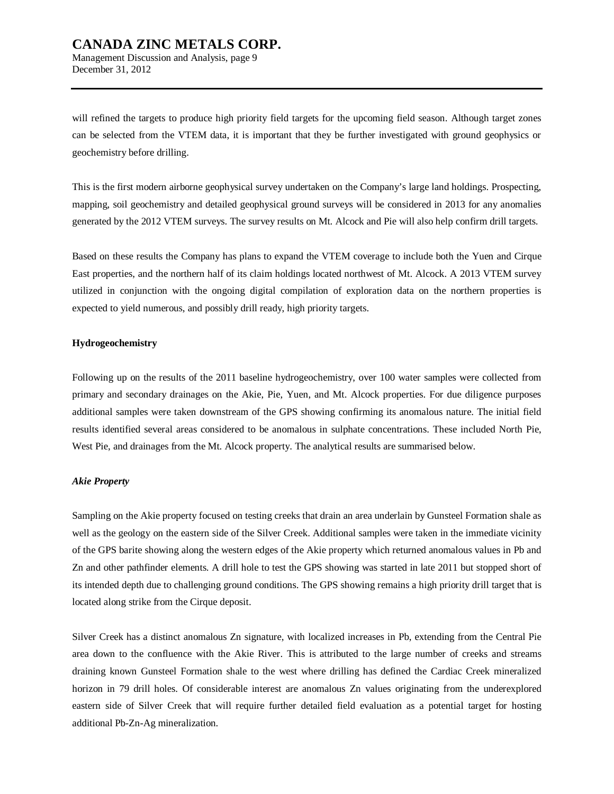will refined the targets to produce high priority field targets for the upcoming field season. Although target zones can be selected from the VTEM data, it is important that they be further investigated with ground geophysics or geochemistry before drilling.

This is the first modern airborne geophysical survey undertaken on the Company's large land holdings. Prospecting, mapping, soil geochemistry and detailed geophysical ground surveys will be considered in 2013 for any anomalies generated by the 2012 VTEM surveys. The survey results on Mt. Alcock and Pie will also help confirm drill targets.

Based on these results the Company has plans to expand the VTEM coverage to include both the Yuen and Cirque East properties, and the northern half of its claim holdings located northwest of Mt. Alcock. A 2013 VTEM survey utilized in conjunction with the ongoing digital compilation of exploration data on the northern properties is expected to yield numerous, and possibly drill ready, high priority targets.

#### **Hydrogeochemistry**

December 31, 2012

Following up on the results of the 2011 baseline hydrogeochemistry, over 100 water samples were collected from primary and secondary drainages on the Akie, Pie, Yuen, and Mt. Alcock properties. For due diligence purposes additional samples were taken downstream of the GPS showing confirming its anomalous nature. The initial field results identified several areas considered to be anomalous in sulphate concentrations. These included North Pie, West Pie, and drainages from the Mt. Alcock property. The analytical results are summarised below.

#### *Akie Property*

Sampling on the Akie property focused on testing creeks that drain an area underlain by Gunsteel Formation shale as well as the geology on the eastern side of the Silver Creek. Additional samples were taken in the immediate vicinity of the GPS barite showing along the western edges of the Akie property which returned anomalous values in Pb and Zn and other pathfinder elements. A drill hole to test the GPS showing was started in late 2011 but stopped short of its intended depth due to challenging ground conditions. The GPS showing remains a high priority drill target that is located along strike from the Cirque deposit.

Silver Creek has a distinct anomalous Zn signature, with localized increases in Pb, extending from the Central Pie area down to the confluence with the Akie River. This is attributed to the large number of creeks and streams draining known Gunsteel Formation shale to the west where drilling has defined the Cardiac Creek mineralized horizon in 79 drill holes. Of considerable interest are anomalous Zn values originating from the underexplored eastern side of Silver Creek that will require further detailed field evaluation as a potential target for hosting additional Pb-Zn-Ag mineralization.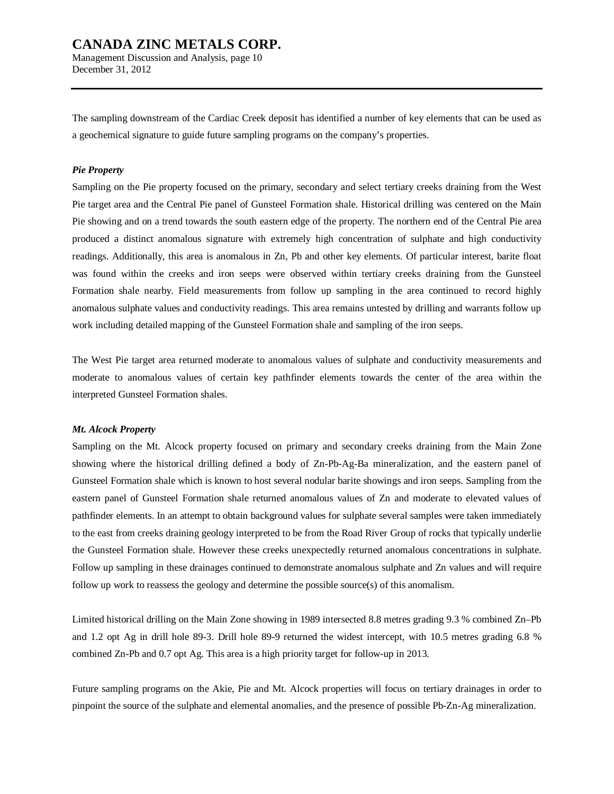Management Discussion and Analysis, page 10 December 31, 2012

The sampling downstream of the Cardiac Creek deposit has identified a number of key elements that can be used as a geochemical signature to guide future sampling programs on the company's properties.

#### *Pie Property*

Sampling on the Pie property focused on the primary, secondary and select tertiary creeks draining from the West Pie target area and the Central Pie panel of Gunsteel Formation shale. Historical drilling was centered on the Main Pie showing and on a trend towards the south eastern edge of the property. The northern end of the Central Pie area produced a distinct anomalous signature with extremely high concentration of sulphate and high conductivity readings. Additionally, this area is anomalous in Zn, Pb and other key elements. Of particular interest, barite float was found within the creeks and iron seeps were observed within tertiary creeks draining from the Gunsteel Formation shale nearby. Field measurements from follow up sampling in the area continued to record highly anomalous sulphate values and conductivity readings. This area remains untested by drilling and warrants follow up work including detailed mapping of the Gunsteel Formation shale and sampling of the iron seeps.

The West Pie target area returned moderate to anomalous values of sulphate and conductivity measurements and moderate to anomalous values of certain key pathfinder elements towards the center of the area within the interpreted Gunsteel Formation shales.

#### *Mt. Alcock Property*

Sampling on the Mt. Alcock property focused on primary and secondary creeks draining from the Main Zone showing where the historical drilling defined a body of Zn-Pb-Ag-Ba mineralization, and the eastern panel of Gunsteel Formation shale which is known to host several nodular barite showings and iron seeps. Sampling from the eastern panel of Gunsteel Formation shale returned anomalous values of Zn and moderate to elevated values of pathfinder elements. In an attempt to obtain background values for sulphate several samples were taken immediately to the east from creeks draining geology interpreted to be from the Road River Group of rocks that typically underlie the Gunsteel Formation shale. However these creeks unexpectedly returned anomalous concentrations in sulphate. Follow up sampling in these drainages continued to demonstrate anomalous sulphate and Zn values and will require follow up work to reassess the geology and determine the possible source(s) of this anomalism.

Limited historical drilling on the Main Zone showing in 1989 intersected 8.8 metres grading 9.3 % combined Zn–Pb and 1.2 opt Ag in drill hole 89-3. Drill hole 89-9 returned the widest intercept, with 10.5 metres grading 6.8 % combined Zn-Pb and 0.7 opt Ag. This area is a high priority target for follow-up in 2013.

Future sampling programs on the Akie, Pie and Mt. Alcock properties will focus on tertiary drainages in order to pinpoint the source of the sulphate and elemental anomalies, and the presence of possible Pb-Zn-Ag mineralization.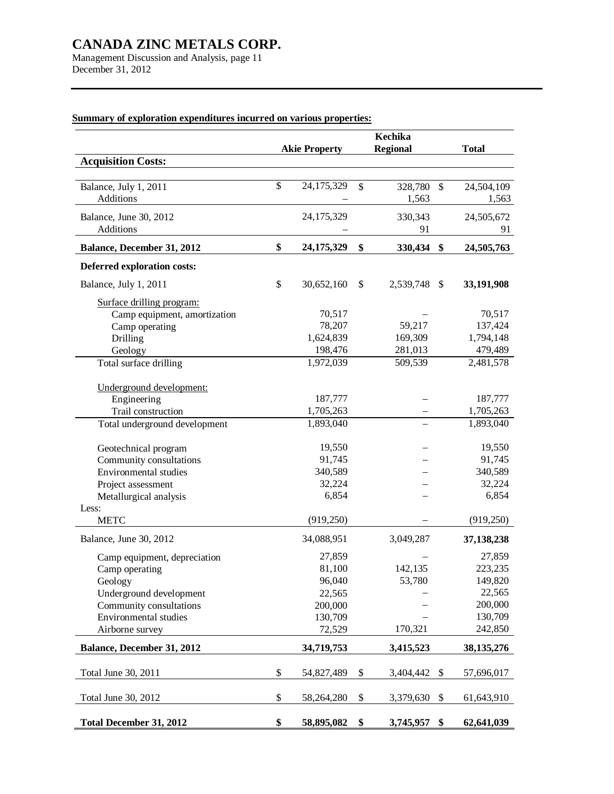Management Discussion and Analysis, page 11 December 31, 2012

|                                                                                                                                                             |              | <b>Akie Property</b>                                                 | Kechika<br><b>Regional</b>   |              | <b>Total</b>                                                            |
|-------------------------------------------------------------------------------------------------------------------------------------------------------------|--------------|----------------------------------------------------------------------|------------------------------|--------------|-------------------------------------------------------------------------|
| <b>Acquisition Costs:</b>                                                                                                                                   |              |                                                                      |                              |              |                                                                         |
| Balance, July 1, 2011<br>Additions                                                                                                                          | $\mathbb{S}$ | 24,175,329                                                           | \$<br>328,780<br>1,563       | $\mathbb{S}$ | 24,504,109<br>1,563                                                     |
| Balance, June 30, 2012<br>Additions                                                                                                                         |              | 24,175,329                                                           | 330,343<br>91                |              | 24,505,672<br>91                                                        |
| Balance, December 31, 2012                                                                                                                                  | \$           | 24, 175, 329                                                         | \$<br>330,434 \$             |              | 24,505,763                                                              |
| Deferred exploration costs:                                                                                                                                 |              |                                                                      |                              |              |                                                                         |
| Balance, July 1, 2011                                                                                                                                       | \$           | 30,652,160                                                           | \$<br>2,539,748              | \$           | 33,191,908                                                              |
| Surface drilling program:<br>Camp equipment, amortization<br>Camp operating<br><b>Drilling</b><br>Geology                                                   |              | 70,517<br>78,207<br>1,624,839<br>198,476                             | 59,217<br>169,309<br>281,013 |              | 70,517<br>137,424<br>1,794,148<br>479,489                               |
| Total surface drilling                                                                                                                                      |              | 1,972,039                                                            | 509,539                      |              | 2,481,578                                                               |
| Underground development:<br>Engineering<br>Trail construction<br>Total underground development                                                              |              | 187,777<br>1,705,263<br>1,893,040                                    |                              |              | 187,777<br>1,705,263<br>1,893,040                                       |
| Geotechnical program<br>Community consultations<br>Environmental studies<br>Project assessment<br>Metallurgical analysis                                    |              | 19,550<br>91,745<br>340,589<br>32,224<br>6,854                       |                              |              | 19,550<br>91,745<br>340,589<br>32,224<br>6,854                          |
| Less:<br><b>METC</b>                                                                                                                                        |              | (919,250)                                                            |                              |              | (919, 250)                                                              |
| Balance, June 30, 2012                                                                                                                                      |              | 34,088,951                                                           | 3,049,287                    |              | 37,138,238                                                              |
| Camp equipment, depreciation<br>Camp operating<br>Geology<br>Underground development<br>Community consultations<br>Environmental studies<br>Airborne survey |              | 27,859<br>81,100<br>96,040<br>22,565<br>200,000<br>130,709<br>72,529 | 142,135<br>53,780<br>170,321 |              | 27,859<br>223,235<br>149,820<br>22,565<br>200,000<br>130,709<br>242,850 |
| Balance, December 31, 2012                                                                                                                                  |              | 34,719,753                                                           | 3,415,523                    |              | 38, 135, 276                                                            |
| Total June 30, 2011                                                                                                                                         | \$           | 54,827,489                                                           | \$<br>3,404,442              | \$           | 57,696,017                                                              |
| Total June 30, 2012                                                                                                                                         | \$           | 58,264,280                                                           | \$<br>3,379,630              | \$           | 61,643,910                                                              |
| <b>Total December 31, 2012</b>                                                                                                                              | \$           | 58,895,082                                                           | \$<br>3,745,957 \$           |              | 62,641,039                                                              |

## **Summary of exploration expenditures incurred on various properties:**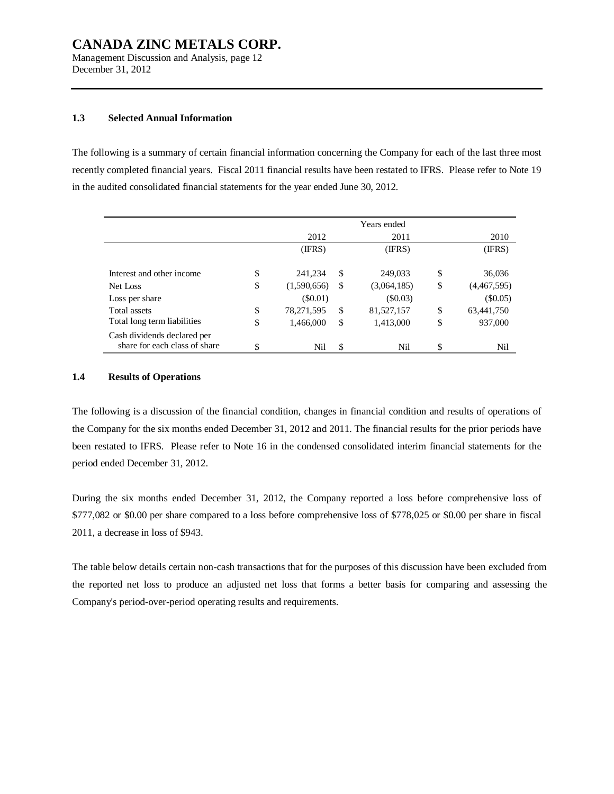Management Discussion and Analysis, page 12 December 31, 2012

#### **1.3 Selected Annual Information**

The following is a summary of certain financial information concerning the Company for each of the last three most recently completed financial years. Fiscal 2011 financial results have been restated to IFRS. Please refer to Note 19 in the audited consolidated financial statements for the year ended June 30, 2012.

|                               |                   |    | Years ended |                   |
|-------------------------------|-------------------|----|-------------|-------------------|
|                               | 2012              |    | 2011        | 2010              |
|                               | (IFRS)            |    | (IFRS)      | (IFRS)            |
| Interest and other income     | \$<br>241,234     | S  | 249,033     | \$<br>36,036      |
|                               |                   |    |             |                   |
| Net Loss                      | \$<br>(1,590,656) | S  | (3,064,185) | \$<br>(4,467,595) |
| Loss per share                | (S0.01)           |    | $(\$0.03)$  | $(\$0.05)$        |
| Total assets                  | \$<br>78,271,595  | \$ | 81,527,157  | \$<br>63,441,750  |
| Total long term liabilities   | \$<br>1,466,000   | \$ | 1,413,000   | \$<br>937,000     |
| Cash dividends declared per   |                   |    |             |                   |
| share for each class of share | \$<br>Nil         | \$ | Nil         | \$<br>Nil         |

#### **1.4 Results of Operations**

The following is a discussion of the financial condition, changes in financial condition and results of operations of the Company for the six months ended December 31, 2012 and 2011. The financial results for the prior periods have been restated to IFRS. Please refer to Note 16 in the condensed consolidated interim financial statements for the period ended December 31, 2012.

During the six months ended December 31, 2012, the Company reported a loss before comprehensive loss of \$777,082 or \$0.00 per share compared to a loss before comprehensive loss of \$778,025 or \$0.00 per share in fiscal 2011, a decrease in loss of \$943.

The table below details certain non-cash transactions that for the purposes of this discussion have been excluded from the reported net loss to produce an adjusted net loss that forms a better basis for comparing and assessing the Company's period-over-period operating results and requirements.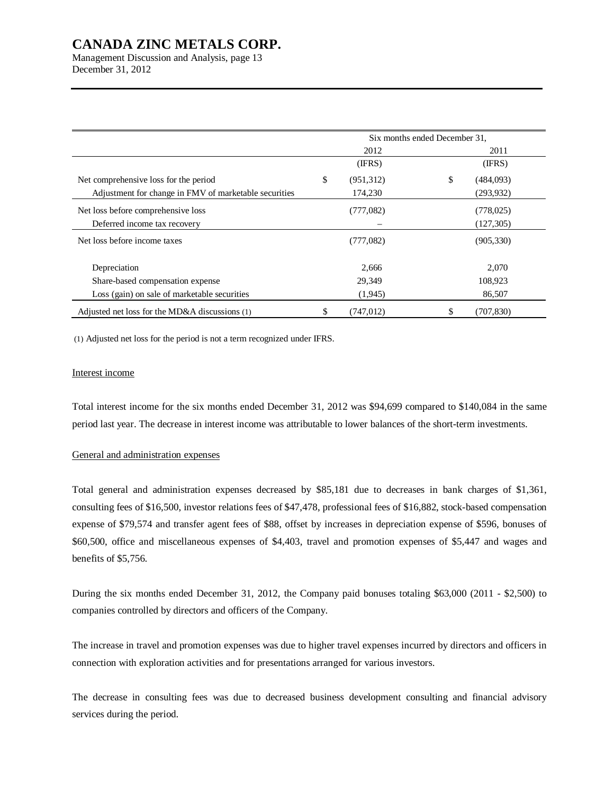Management Discussion and Analysis, page 13 December 31, 2012

|                                                       | Six months ended December 31, |            |    |            |  |
|-------------------------------------------------------|-------------------------------|------------|----|------------|--|
|                                                       |                               | 2012       |    | 2011       |  |
|                                                       |                               | (IFRS)     |    | (IFRS)     |  |
| Net comprehensive loss for the period                 | \$                            | (951, 312) | \$ | (484,093)  |  |
| Adjustment for change in FMV of marketable securities |                               | 174,230    |    | (293, 932) |  |
| Net loss before comprehensive loss                    |                               | (777,082)  |    | (778, 025) |  |
| Deferred income tax recovery                          |                               |            |    | (127, 305) |  |
| Net loss before income taxes                          |                               | (777,082)  |    | (905, 330) |  |
| Depreciation                                          |                               | 2,666      |    | 2,070      |  |
| Share-based compensation expense                      |                               | 29,349     |    | 108,923    |  |
| Loss (gain) on sale of marketable securities          |                               | (1,945)    |    | 86,507     |  |
| Adjusted net loss for the MD&A discussions (1)        | \$                            | (747, 012) | \$ | (707, 830) |  |

(1) Adjusted net loss for the period is not a term recognized under IFRS.

#### Interest income

Total interest income for the six months ended December 31, 2012 was \$94,699 compared to \$140,084 in the same period last year. The decrease in interest income was attributable to lower balances of the short-term investments.

#### General and administration expenses

Total general and administration expenses decreased by \$85,181 due to decreases in bank charges of \$1,361, consulting fees of \$16,500, investor relations fees of \$47,478, professional fees of \$16,882, stock-based compensation expense of \$79,574 and transfer agent fees of \$88, offset by increases in depreciation expense of \$596, bonuses of \$60,500, office and miscellaneous expenses of \$4,403, travel and promotion expenses of \$5,447 and wages and benefits of \$5,756.

During the six months ended December 31, 2012, the Company paid bonuses totaling \$63,000 (2011 - \$2,500) to companies controlled by directors and officers of the Company.

The increase in travel and promotion expenses was due to higher travel expenses incurred by directors and officers in connection with exploration activities and for presentations arranged for various investors.

The decrease in consulting fees was due to decreased business development consulting and financial advisory services during the period.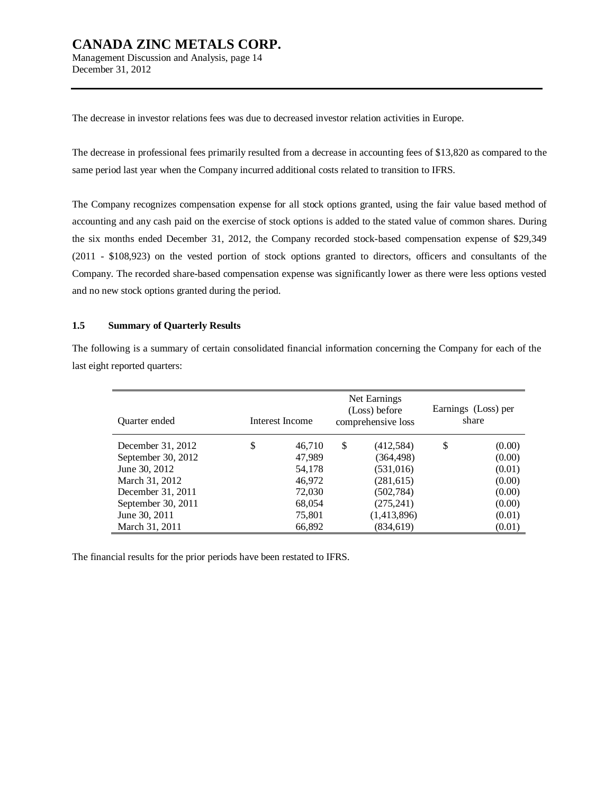### **CANADA ZINC METALS CORP.**  Management Discussion and Analysis, page 14

December 31, 2012

The decrease in investor relations fees was due to decreased investor relation activities in Europe.

The decrease in professional fees primarily resulted from a decrease in accounting fees of \$13,820 as compared to the same period last year when the Company incurred additional costs related to transition to IFRS.

The Company recognizes compensation expense for all stock options granted, using the fair value based method of accounting and any cash paid on the exercise of stock options is added to the stated value of common shares. During the six months ended December 31, 2012, the Company recorded stock-based compensation expense of \$29,349 (2011 - \$108,923) on the vested portion of stock options granted to directors, officers and consultants of the Company. The recorded share-based compensation expense was significantly lower as there were less options vested and no new stock options granted during the period.

#### **1.5 Summary of Quarterly Results**

The following is a summary of certain consolidated financial information concerning the Company for each of the last eight reported quarters:

| Quarter ended      | Interest Income |    | Net Earnings<br>(Loss) before<br>comprehensive loss | Earnings (Loss) per<br>share |        |  |
|--------------------|-----------------|----|-----------------------------------------------------|------------------------------|--------|--|
| December 31, 2012  | \$<br>46,710    | \$ | (412,584)                                           | \$                           | (0.00) |  |
| September 30, 2012 | 47,989          |    | (364, 498)                                          |                              | (0.00) |  |
| June 30, 2012      | 54,178          |    | (531,016)                                           |                              | (0.01) |  |
| March 31, 2012     | 46,972          |    | (281,615)                                           |                              | (0.00) |  |
| December 31, 2011  | 72,030          |    | (502, 784)                                          |                              | (0.00) |  |
| September 30, 2011 | 68,054          |    | (275, 241)                                          |                              | (0.00) |  |
| June 30, 2011      | 75,801          |    | (1,413,896)                                         |                              | (0.01) |  |
| March 31, 2011     | 66,892          |    | (834, 619)                                          |                              | (0.01) |  |

The financial results for the prior periods have been restated to IFRS.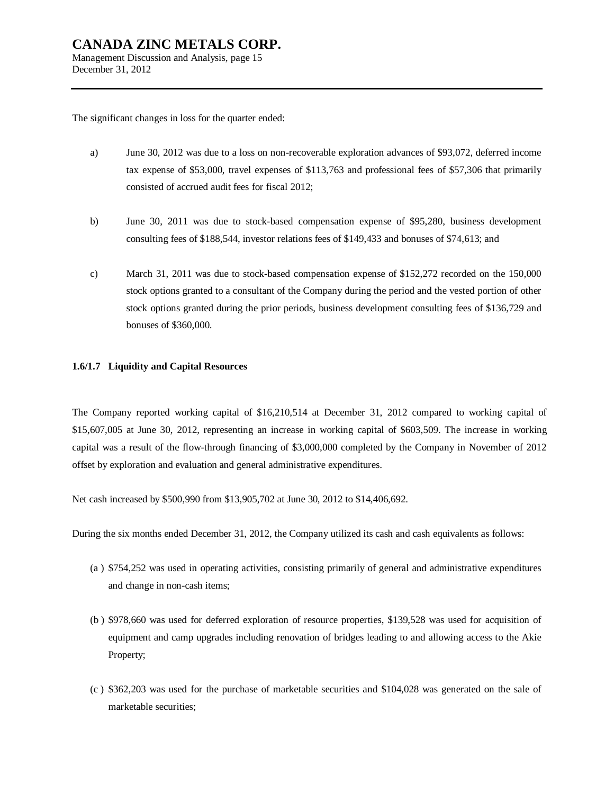The significant changes in loss for the quarter ended:

- a) June 30, 2012 was due to a loss on non-recoverable exploration advances of \$93,072, deferred income tax expense of \$53,000, travel expenses of \$113,763 and professional fees of \$57,306 that primarily consisted of accrued audit fees for fiscal 2012;
- b) June 30, 2011 was due to stock-based compensation expense of \$95,280, business development consulting fees of \$188,544, investor relations fees of \$149,433 and bonuses of \$74,613; and
- c) March 31, 2011 was due to stock-based compensation expense of \$152,272 recorded on the 150,000 stock options granted to a consultant of the Company during the period and the vested portion of other stock options granted during the prior periods, business development consulting fees of \$136,729 and bonuses of \$360,000.

#### **1.6/1.7 Liquidity and Capital Resources**

The Company reported working capital of \$16,210,514 at December 31, 2012 compared to working capital of \$15,607,005 at June 30, 2012, representing an increase in working capital of \$603,509. The increase in working capital was a result of the flow-through financing of \$3,000,000 completed by the Company in November of 2012 offset by exploration and evaluation and general administrative expenditures.

Net cash increased by \$500,990 from \$13,905,702 at June 30, 2012 to \$14,406,692.

During the six months ended December 31, 2012, the Company utilized its cash and cash equivalents as follows:

- (a ) \$754,252 was used in operating activities, consisting primarily of general and administrative expenditures and change in non-cash items;
- (b ) \$978,660 was used for deferred exploration of resource properties, \$139,528 was used for acquisition of equipment and camp upgrades including renovation of bridges leading to and allowing access to the Akie Property;
- (c ) \$362,203 was used for the purchase of marketable securities and \$104,028 was generated on the sale of marketable securities;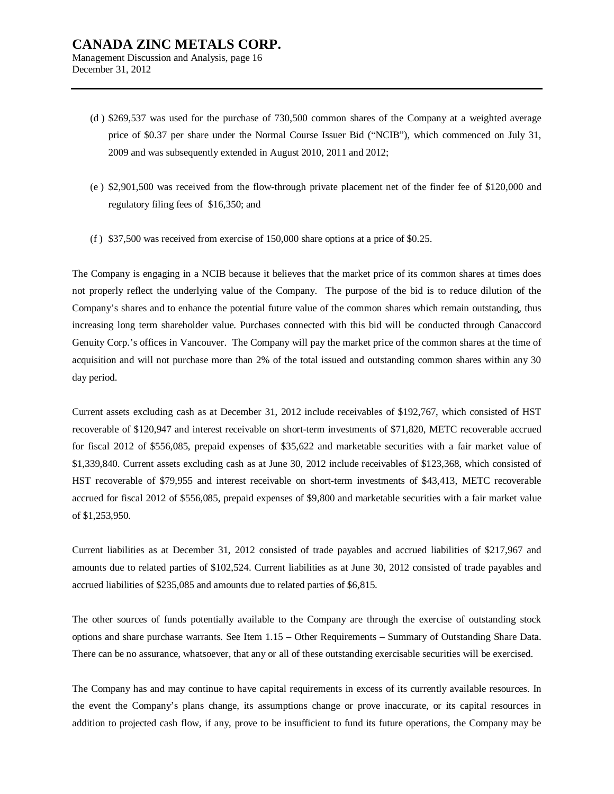- (d ) \$269,537 was used for the purchase of 730,500 common shares of the Company at a weighted average price of \$0.37 per share under the Normal Course Issuer Bid ("NCIB"), which commenced on July 31, 2009 and was subsequently extended in August 2010, 2011 and 2012;
- (e ) \$2,901,500 was received from the flow-through private placement net of the finder fee of \$120,000 and regulatory filing fees of \$16,350; and
- (f ) \$37,500 was received from exercise of 150,000 share options at a price of \$0.25.

The Company is engaging in a NCIB because it believes that the market price of its common shares at times does not properly reflect the underlying value of the Company. The purpose of the bid is to reduce dilution of the Company's shares and to enhance the potential future value of the common shares which remain outstanding, thus increasing long term shareholder value. Purchases connected with this bid will be conducted through Canaccord Genuity Corp.'s offices in Vancouver. The Company will pay the market price of the common shares at the time of acquisition and will not purchase more than 2% of the total issued and outstanding common shares within any 30 day period.

Current assets excluding cash as at December 31, 2012 include receivables of \$192,767, which consisted of HST recoverable of \$120,947 and interest receivable on short-term investments of \$71,820, METC recoverable accrued for fiscal 2012 of \$556,085, prepaid expenses of \$35,622 and marketable securities with a fair market value of \$1,339,840. Current assets excluding cash as at June 30, 2012 include receivables of \$123,368, which consisted of HST recoverable of \$79,955 and interest receivable on short-term investments of \$43,413, METC recoverable accrued for fiscal 2012 of \$556,085, prepaid expenses of \$9,800 and marketable securities with a fair market value of \$1,253,950.

Current liabilities as at December 31, 2012 consisted of trade payables and accrued liabilities of \$217,967 and amounts due to related parties of \$102,524. Current liabilities as at June 30, 2012 consisted of trade payables and accrued liabilities of \$235,085 and amounts due to related parties of \$6,815.

The other sources of funds potentially available to the Company are through the exercise of outstanding stock options and share purchase warrants. See Item 1.15 – Other Requirements – Summary of Outstanding Share Data. There can be no assurance, whatsoever, that any or all of these outstanding exercisable securities will be exercised.

The Company has and may continue to have capital requirements in excess of its currently available resources. In the event the Company's plans change, its assumptions change or prove inaccurate, or its capital resources in addition to projected cash flow, if any, prove to be insufficient to fund its future operations, the Company may be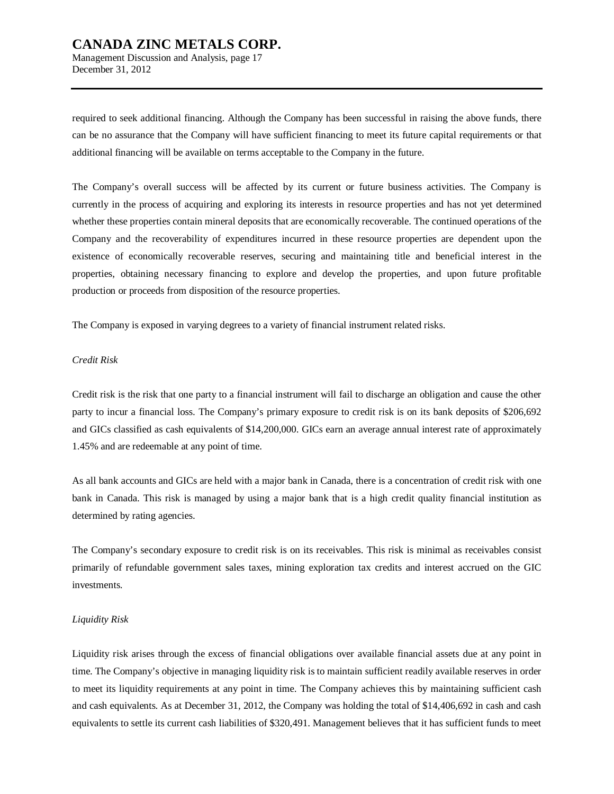Management Discussion and Analysis, page 17 December 31, 2012

required to seek additional financing. Although the Company has been successful in raising the above funds, there can be no assurance that the Company will have sufficient financing to meet its future capital requirements or that additional financing will be available on terms acceptable to the Company in the future.

The Company's overall success will be affected by its current or future business activities. The Company is currently in the process of acquiring and exploring its interests in resource properties and has not yet determined whether these properties contain mineral deposits that are economically recoverable. The continued operations of the Company and the recoverability of expenditures incurred in these resource properties are dependent upon the existence of economically recoverable reserves, securing and maintaining title and beneficial interest in the properties, obtaining necessary financing to explore and develop the properties, and upon future profitable production or proceeds from disposition of the resource properties.

The Company is exposed in varying degrees to a variety of financial instrument related risks.

#### *Credit Risk*

Credit risk is the risk that one party to a financial instrument will fail to discharge an obligation and cause the other party to incur a financial loss. The Company's primary exposure to credit risk is on its bank deposits of \$206,692 and GICs classified as cash equivalents of \$14,200,000. GICs earn an average annual interest rate of approximately 1.45% and are redeemable at any point of time.

As all bank accounts and GICs are held with a major bank in Canada, there is a concentration of credit risk with one bank in Canada. This risk is managed by using a major bank that is a high credit quality financial institution as determined by rating agencies.

The Company's secondary exposure to credit risk is on its receivables. This risk is minimal as receivables consist primarily of refundable government sales taxes, mining exploration tax credits and interest accrued on the GIC investments.

#### *Liquidity Risk*

Liquidity risk arises through the excess of financial obligations over available financial assets due at any point in time. The Company's objective in managing liquidity risk is to maintain sufficient readily available reserves in order to meet its liquidity requirements at any point in time. The Company achieves this by maintaining sufficient cash and cash equivalents. As at December 31, 2012, the Company was holding the total of \$14,406,692 in cash and cash equivalents to settle its current cash liabilities of \$320,491. Management believes that it has sufficient funds to meet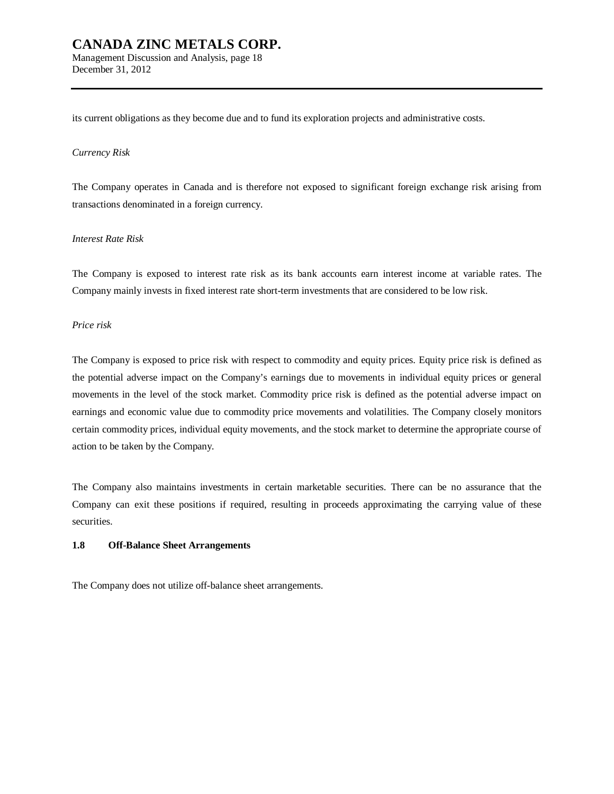its current obligations as they become due and to fund its exploration projects and administrative costs.

#### *Currency Risk*

December 31, 2012

The Company operates in Canada and is therefore not exposed to significant foreign exchange risk arising from transactions denominated in a foreign currency.

#### *Interest Rate Risk*

The Company is exposed to interest rate risk as its bank accounts earn interest income at variable rates. The Company mainly invests in fixed interest rate short-term investments that are considered to be low risk.

#### *Price risk*

The Company is exposed to price risk with respect to commodity and equity prices. Equity price risk is defined as the potential adverse impact on the Company's earnings due to movements in individual equity prices or general movements in the level of the stock market. Commodity price risk is defined as the potential adverse impact on earnings and economic value due to commodity price movements and volatilities. The Company closely monitors certain commodity prices, individual equity movements, and the stock market to determine the appropriate course of action to be taken by the Company.

The Company also maintains investments in certain marketable securities. There can be no assurance that the Company can exit these positions if required, resulting in proceeds approximating the carrying value of these securities.

#### **1.8 Off-Balance Sheet Arrangements**

The Company does not utilize off-balance sheet arrangements.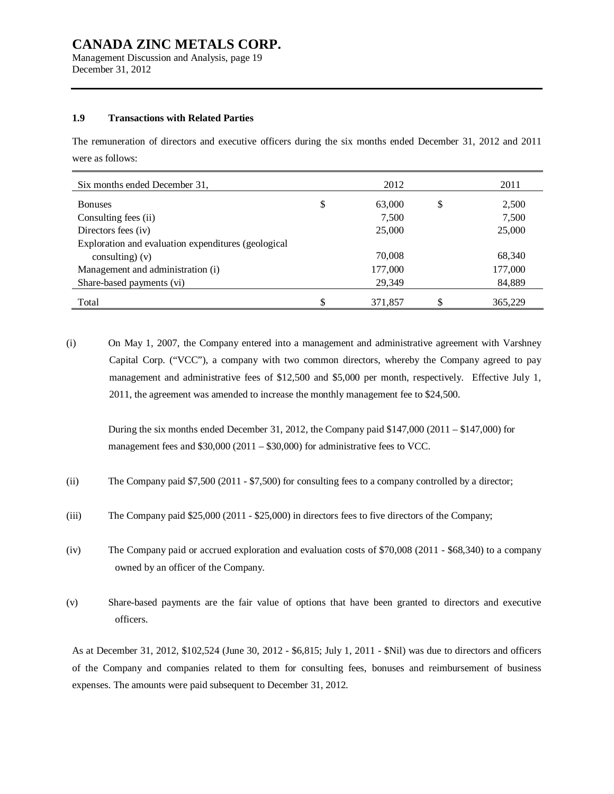Management Discussion and Analysis, page 19 December 31, 2012

#### **1.9 Transactions with Related Parties**

The remuneration of directors and executive officers during the six months ended December 31, 2012 and 2011 were as follows:

| Six months ended December 31.                       | 2012         | 2011          |
|-----------------------------------------------------|--------------|---------------|
| <b>Bonuses</b>                                      | \$<br>63,000 | \$<br>2,500   |
| Consulting fees (ii)                                | 7,500        | 7,500         |
| Directors fees (iv)                                 | 25,000       | 25,000        |
| Exploration and evaluation expenditures (geological |              |               |
| consulting) $(v)$                                   | 70,008       | 68,340        |
| Management and administration (i)                   | 177,000      | 177,000       |
| Share-based payments (vi)                           | 29,349       | 84,889        |
| Total                                               | 371.857      | \$<br>365,229 |

(i) On May 1, 2007, the Company entered into a management and administrative agreement with Varshney Capital Corp. ("VCC"), a company with two common directors, whereby the Company agreed to pay management and administrative fees of \$12,500 and \$5,000 per month, respectively. Effective July 1, 2011, the agreement was amended to increase the monthly management fee to \$24,500.

During the six months ended December 31, 2012, the Company paid  $$147,000 (2011 - $147,000)$  for management fees and \$30,000 (2011 – \$30,000) for administrative fees to VCC.

- (ii) The Company paid \$7,500 (2011 \$7,500) for consulting fees to a company controlled by a director;
- (iii) The Company paid \$25,000 (2011 \$25,000) in directors fees to five directors of the Company;
- (iv) The Company paid or accrued exploration and evaluation costs of \$70,008 (2011 \$68,340) to a company owned by an officer of the Company.
- (v) Share-based payments are the fair value of options that have been granted to directors and executive officers.

As at December 31, 2012, \$102,524 (June 30, 2012 - \$6,815; July 1, 2011 - \$Nil) was due to directors and officers of the Company and companies related to them for consulting fees, bonuses and reimbursement of business expenses. The amounts were paid subsequent to December 31, 2012.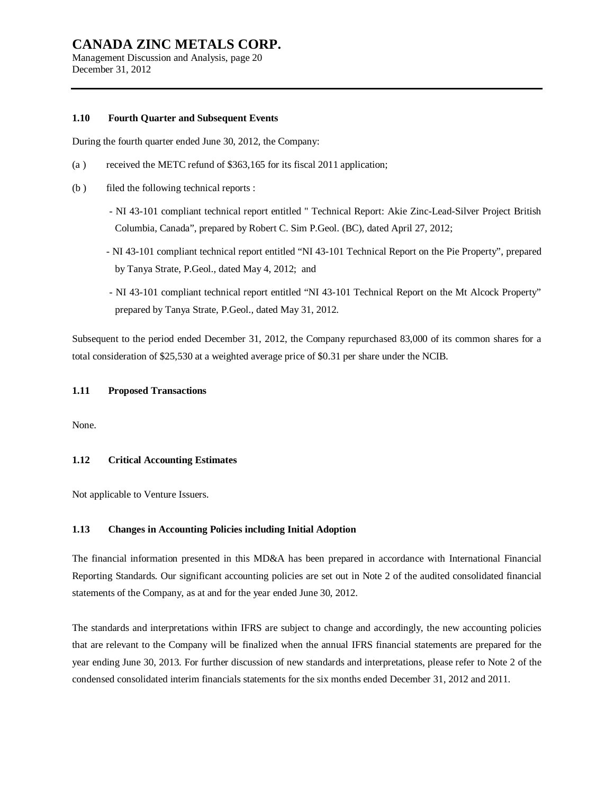Management Discussion and Analysis, page 20 December 31, 2012

#### **1.10 Fourth Quarter and Subsequent Events**

During the fourth quarter ended June 30, 2012, the Company:

- (a ) received the METC refund of \$363,165 for its fiscal 2011 application;
- (b ) filed the following technical reports :
	- NI 43-101 compliant technical report entitled " Technical Report: Akie Zinc-Lead-Silver Project British Columbia, Canada", prepared by Robert C. Sim P.Geol. (BC), dated April 27, 2012;
	- NI 43-101 compliant technical report entitled "NI 43-101 Technical Report on the Pie Property", prepared by Tanya Strate, P.Geol., dated May 4, 2012; and
	- NI 43-101 compliant technical report entitled "NI 43-101 Technical Report on the Mt Alcock Property" prepared by Tanya Strate, P.Geol., dated May 31, 2012.

Subsequent to the period ended December 31, 2012, the Company repurchased 83,000 of its common shares for a total consideration of \$25,530 at a weighted average price of \$0.31 per share under the NCIB.

#### **1.11 Proposed Transactions**

None.

#### **1.12 Critical Accounting Estimates**

Not applicable to Venture Issuers.

#### **1.13 Changes in Accounting Policies including Initial Adoption**

The financial information presented in this MD&A has been prepared in accordance with International Financial Reporting Standards. Our significant accounting policies are set out in Note 2 of the audited consolidated financial statements of the Company, as at and for the year ended June 30, 2012.

The standards and interpretations within IFRS are subject to change and accordingly, the new accounting policies that are relevant to the Company will be finalized when the annual IFRS financial statements are prepared for the year ending June 30, 2013. For further discussion of new standards and interpretations, please refer to Note 2 of the condensed consolidated interim financials statements for the six months ended December 31, 2012 and 2011.